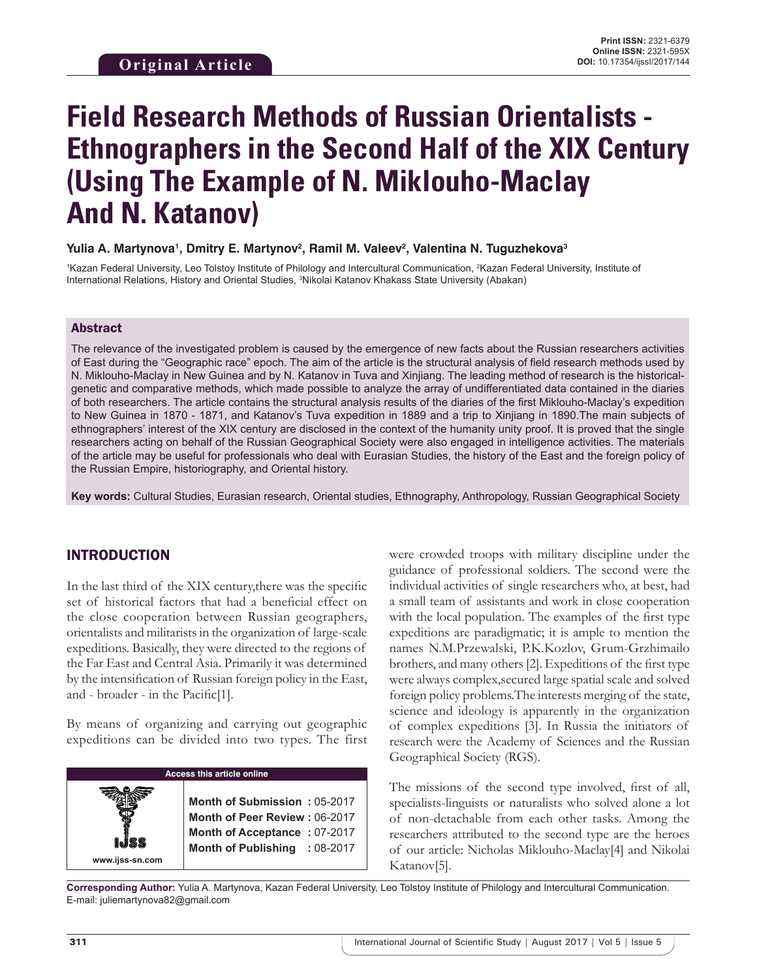# **Field Research Methods of Russian Orientalists - Ethnographers in the Second Half of the XIX Century (Using The Example of N. Miklouho-Maclay And N. Katanov)**

#### Yulia A. Martynova<sup>1</sup>, Dmitry E. Martynov<sup>2</sup>, Ramil M. Valeev<sup>2</sup>, Valentina N. Tuguzhekova<sup>з</sup>

<sup>1</sup>Kazan Federal University, Leo Tolstoy Institute of Philology and Intercultural Communication, <sup>2</sup>Kazan Federal University, Institute of International Relations, History and Oriental Studies, 3 Nikolai Katanov Khakass State University (Abakan)

#### Abstract

The relevance of the investigated problem is caused by the emergence of new facts about the Russian researchers activities of East during the "Geographic race" epoch. The aim of the article is the structural analysis of field research methods used by N. Miklouho-Maclay in New Guinea and by N. Katanov in Tuva and Xinjiang. The leading method of research is the historicalgenetic and comparative methods, which made possible to analyze the array of undifferentiated data contained in the diaries of both researchers. The article contains the structural analysis results of the diaries of the first Miklouho-Maclay's expedition to New Guinea in 1870 - 1871, and Katanov's Tuva expedition in 1889 and a trip to Xinjiang in 1890.The main subjects of ethnographers' interest of the XIX century are disclosed in the context of the humanity unity proof. It is proved that the single researchers acting on behalf of the Russian Geographical Society were also engaged in intelligence activities. The materials of the article may be useful for professionals who deal with Eurasian Studies, the history of the East and the foreign policy of the Russian Empire, historiography, and Oriental history.

**Key words:** Cultural Studies, Eurasian research, Oriental studies, Ethnography, Anthropology, Russian Geographical Society

## INTRODUCTION

In the last third of the XIX century,there was the specific set of historical factors that had a beneficial effect on the close cooperation between Russian geographers, orientalists and militarists in the organization of large-scale expeditions. Basically, they were directed to the regions of the Far East and Central Asia. Primarily it was determined by the intensification of Russian foreign policy in the East, and - broader - in the Pacific[1].

By means of organizing and carrying out geographic expeditions can be divided into two types. The first

| <b>Access this article online</b> |                                                                                                                                |  |
|-----------------------------------|--------------------------------------------------------------------------------------------------------------------------------|--|
|                                   | Month of Submission: 05-2017<br>Month of Peer Review: 06-2017<br>Month of Acceptance: 07-2017<br>Month of Publishing : 08-2017 |  |
| www.ijss-sn.com                   |                                                                                                                                |  |

were crowded troops with military discipline under the guidance of professional soldiers. The second were the individual activities of single researchers who, at best, had a small team of assistants and work in close cooperation with the local population. The examples of the first type expeditions are paradigmatic; it is ample to mention the names N.M.Przewalski, P.K.Kozlov, Grum-Grzhimailo brothers, and many others [2]. Expeditions of the first type were always complex,secured large spatial scale and solved foreign policy problems.The interests merging of the state, science and ideology is apparently in the organization of complex expeditions [3]. In Russia the initiators of research were the Academy of Sciences and the Russian Geographical Society (RGS).

The missions of the second type involved, first of all, specialists-linguists or naturalists who solved alone a lot of non-detachable from each other tasks. Among the researchers attributed to the second type are the heroes of our article: Nicholas Miklouho-Maclay[4] and Nikolai Katanov[5].

**Corresponding Author:** Yulia A. Martynova, Kazan Federal University, Leo Tolstoy Institute of Philology and Intercultural Communication. E-mail: juliemartynova82@gmail.com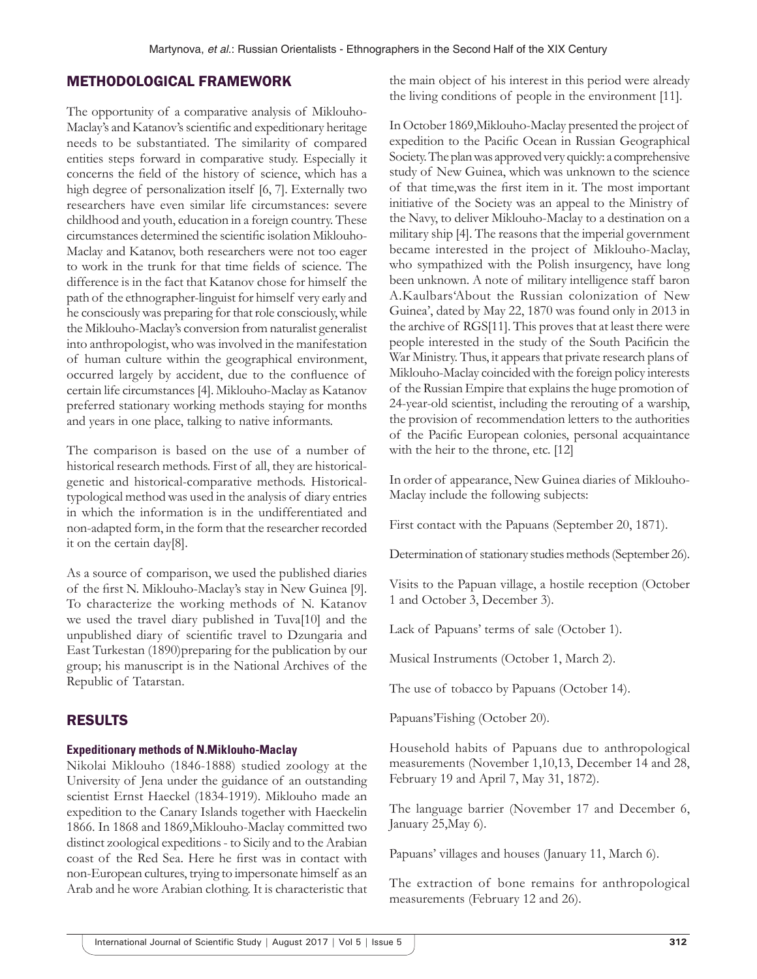# METHODOLOGICAL FRAMEWORK

The opportunity of a comparative analysis of Miklouho-Maclay's and Katanov's scientific and expeditionary heritage needs to be substantiated. The similarity of compared entities steps forward in comparative study. Especially it concerns the field of the history of science, which has a high degree of personalization itself [6, 7]. Externally two researchers have even similar life circumstances: severe childhood and youth, education in a foreign country. These circumstances determined the scientific isolation Miklouho-Maclay and Katanov, both researchers were not too eager to work in the trunk for that time fields of science. The difference is in the fact that Katanov chose for himself the path of the ethnographer-linguist for himself very early and he consciously was preparing for that role consciously, while the Miklouho-Maclay's conversion from naturalist generalist into anthropologist, who was involved in the manifestation of human culture within the geographical environment, occurred largely by accident, due to the confluence of certain life circumstances [4]. Miklouho-Maclay as Katanov preferred stationary working methods staying for months and years in one place, talking to native informants.

The comparison is based on the use of a number of historical research methods. First of all, they are historicalgenetic and historical-comparative methods. Historicaltypological method was used in the analysis of diary entries in which the information is in the undifferentiated and non-adapted form, in the form that the researcher recorded it on the certain day[8].

As a source of comparison, we used the published diaries of the first N. Miklouho-Maclay's stay in New Guinea [9]. To characterize the working methods of N. Katanov we used the travel diary published in Tuva[10] and the unpublished diary of scientific travel to Dzungaria and East Turkestan (1890)preparing for the publication by our group; his manuscript is in the National Archives of the Republic of Tatarstan.

## RESULTS

#### **Expeditionary methods of N.Miklouho-Maclay**

Nikolai Miklouho (1846-1888) studied zoology at the University of Jena under the guidance of an outstanding scientist Ernst Haeckel (1834-1919). Miklouho made an expedition to the Canary Islands together with Haeckelin 1866. In 1868 and 1869,Miklouho-Maclay committed two distinct zoological expeditions- to Sicily and to the Arabian coast of the Red Sea. Here he first was in contact with non-European cultures, trying to impersonate himself as an Arab and he wore Arabian clothing. It is characteristic that

the main object of his interest in this period were already the living conditions of people in the environment [11].

In October 1869,Miklouho-Maclay presented the project of expedition to the Pacific Ocean in Russian Geographical Society. The plan was approved very quickly: a comprehensive study of New Guinea, which was unknown to the science of that time,was the first item in it. The most important initiative of the Society was an appeal to the Ministry of the Navy, to deliver Miklouho-Maclay to a destination on a military ship [4]. The reasons that the imperial government became interested in the project of Miklouho-Maclay, who sympathized with the Polish insurgency, have long been unknown. A note of military intelligence staff baron A.Kaulbars'About the Russian colonization of New Guinea', dated by May 22, 1870 was found only in 2013 in the archive of RGS[11]. This proves that at least there were people interested in the study of the South Pacificin the War Ministry. Thus, it appears that private research plans of Miklouho-Maclay coincided with the foreign policy interests of the Russian Empire that explains the huge promotion of 24-year-old scientist, including the rerouting of a warship, the provision of recommendation letters to the authorities of the Pacific European colonies, personal acquaintance with the heir to the throne, etc. [12]

In order of appearance, New Guinea diaries of Miklouho-Maclay include the following subjects:

First contact with the Papuans (September 20, 1871).

Determination of stationary studies methods (September 26).

Visits to the Papuan village, a hostile reception (October 1 and October 3, December 3).

Lack of Papuans' terms of sale (October 1).

Musical Instruments (October 1, March 2).

The use of tobacco by Papuans (October 14).

Papuans'Fishing (October 20).

Household habits of Papuans due to anthropological measurements (November 1,10,13, December 14 and 28, February 19 and April 7, May 31, 1872).

The language barrier (November 17 and December 6, January 25,May 6).

Papuans' villages and houses (January 11, March 6).

The extraction of bone remains for anthropological measurements (February 12 and 26).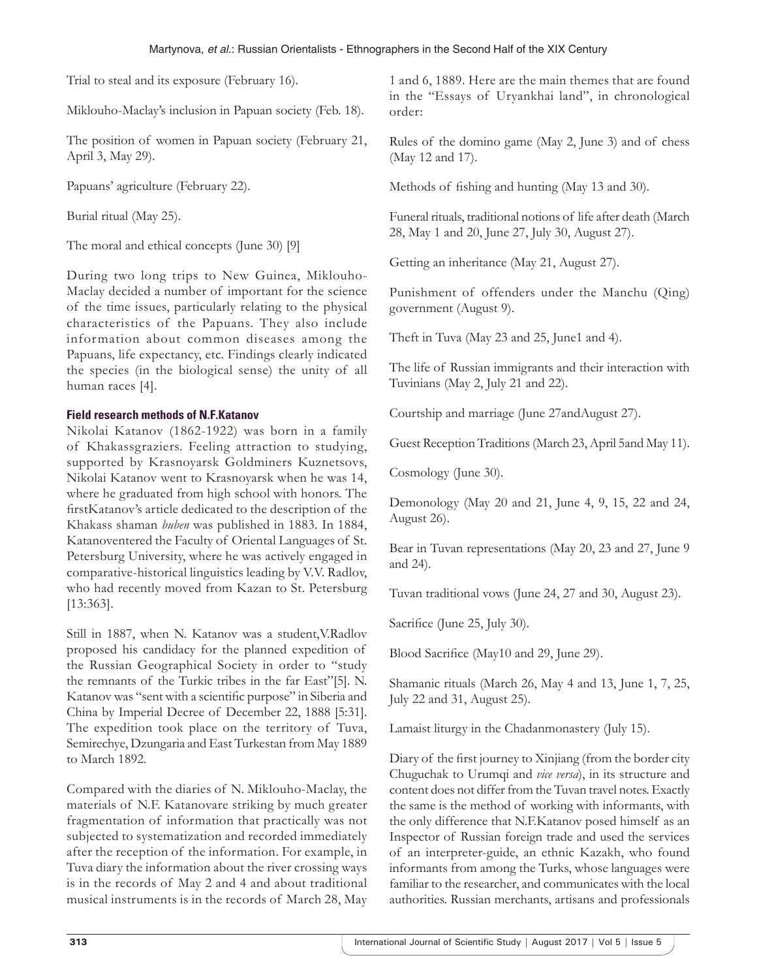Trial to steal and its exposure (February 16).

Miklouho-Maclay's inclusion in Papuan society (Feb. 18).

The position of women in Papuan society (February 21, April 3, May 29).

Papuans' agriculture (February 22).

Burial ritual (May 25).

The moral and ethical concepts (June 30) [9]

During two long trips to New Guinea, Miklouho-Maclay decided a number of important for the science of the time issues, particularly relating to the physical characteristics of the Papuans. They also include information about common diseases among the Papuans, life expectancy, etc. Findings clearly indicated the species (in the biological sense) the unity of all human races [4].

#### **Field research methods of N.F.Katanov**

Nikolai Katanov (1862-1922) was born in a family of Khakassgraziers. Feeling attraction to studying, supported by Krasnoyarsk Goldminers Kuznetsovs, Nikolai Katanov went to Krasnoyarsk when he was 14, where he graduated from high school with honors. The firstKatanov's article dedicated to the description of the Khakass shaman *buben* was published in 1883. In 1884, Katanoventered the Faculty of Oriental Languages of St. Petersburg University, where he was actively engaged in comparative-historical linguistics leading by V.V. Radlov, who had recently moved from Kazan to St. Petersburg [13:363].

Still in 1887, when N. Katanov was a student,V.Radlov proposed his candidacy for the planned expedition of the Russian Geographical Society in order to "study the remnants of the Turkic tribes in the far East"[5]. N. Katanov was "sent with a scientific purpose" in Siberia and China by Imperial Decree of December 22, 1888 [5:31]. The expedition took place on the territory of Tuva, Semirechye, Dzungaria and East Turkestan from May 1889 to March 1892.

Compared with the diaries of N. Miklouho-Maclay, the materials of N.F. Katanovare striking by much greater fragmentation of information that practically was not subjected to systematization and recorded immediately after the reception of the information. For example, in Tuva diary the information about the river crossing ways is in the records of May 2 and 4 and about traditional musical instruments is in the records of March 28, May

1 and 6, 1889. Here are the main themes that are found in the "Essays of Uryankhai land", in chronological order:

Rules of the domino game (May 2, June 3) and of chess (May 12 and 17).

Methods of fishing and hunting (May 13 and 30).

Funeral rituals, traditional notions of life after death (March 28, May 1 and 20, June 27, July 30, August 27).

Getting an inheritance (May 21, August 27).

Punishment of offenders under the Manchu (Qing) government (August 9).

Theft in Tuva (May 23 and 25, June1 and 4).

The life of Russian immigrants and their interaction with Tuvinians (May 2, July 21 and 22).

Courtship and marriage (June 27andAugust 27).

Guest Reception Traditions (March 23, April 5and May 11).

Cosmology (June 30).

Demonology (May 20 and 21, June 4, 9, 15, 22 and 24, August 26).

Bear in Tuvan representations (May 20, 23 and 27, June 9 and 24).

Tuvan traditional vows (June 24, 27 and 30, August 23).

Sacrifice (June 25, July 30).

Blood Sacrifice (May10 and 29, June 29).

Shamanic rituals (March 26, May 4 and 13, June 1, 7, 25, July 22 and 31, August 25).

Lamaist liturgy in the Chadanmonastery (July 15).

Diary of the first journey to Xinjiang (from the border city Chuguchak to Urumqi and *vice versa*), in its structure and content does not differ from the Tuvan travel notes. Exactly the same is the method of working with informants, with the only difference that N.F.Katanov posed himself as an Inspector of Russian foreign trade and used the services of an interpreter-guide, an ethnic Kazakh, who found informants from among the Turks, whose languages were familiar to the researcher, and communicates with the local authorities. Russian merchants, artisans and professionals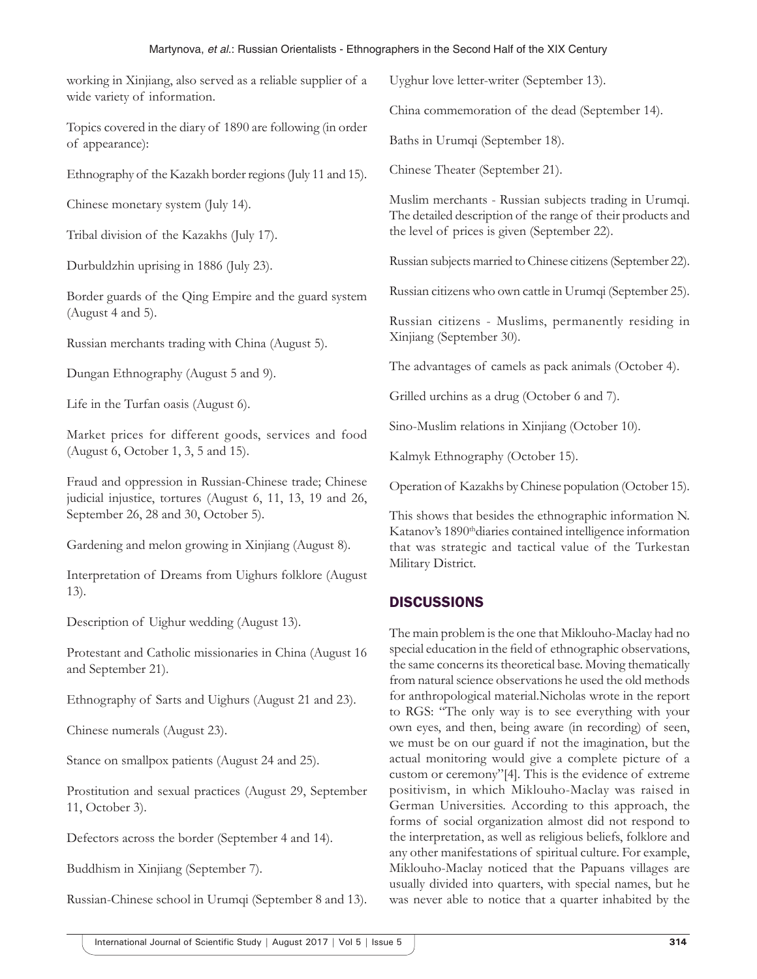| Martynova, et al.: Russian Orientalists - Ethnographers in the Second Half of the XIX Century                        |                                                                                                                                                                                                                                                     |  |
|----------------------------------------------------------------------------------------------------------------------|-----------------------------------------------------------------------------------------------------------------------------------------------------------------------------------------------------------------------------------------------------|--|
| working in Xinjiang, also served as a reliable supplier of a<br>wide variety of information.                         | Uyghur love letter-writer (September 13).                                                                                                                                                                                                           |  |
|                                                                                                                      | China commemoration of the dead (September 14).                                                                                                                                                                                                     |  |
| Topics covered in the diary of 1890 are following (in order<br>of appearance):                                       | Baths in Urumqi (September 18).                                                                                                                                                                                                                     |  |
| Ethnography of the Kazakh border regions (July 11 and 15).                                                           | Chinese Theater (September 21).                                                                                                                                                                                                                     |  |
| Chinese monetary system (July 14).                                                                                   | Muslim merchants - Russian subjects trading in Urumqi.<br>The detailed description of the range of their products and<br>the level of prices is given (September 22).                                                                               |  |
| Tribal division of the Kazakhs (July 17).                                                                            |                                                                                                                                                                                                                                                     |  |
| Durbuldzhin uprising in 1886 (July 23).                                                                              | Russian subjects married to Chinese citizens (September 22).                                                                                                                                                                                        |  |
| Border guards of the Qing Empire and the guard system                                                                | Russian citizens who own cattle in Urumqi (September 25).                                                                                                                                                                                           |  |
| (August 4 and 5).                                                                                                    | Russian citizens - Muslims, permanently residing in                                                                                                                                                                                                 |  |
| Russian merchants trading with China (August 5).                                                                     | Xinjiang (September 30).                                                                                                                                                                                                                            |  |
| Dungan Ethnography (August 5 and 9).                                                                                 | The advantages of camels as pack animals (October 4).                                                                                                                                                                                               |  |
| Life in the Turfan oasis (August 6).                                                                                 | Grilled urchins as a drug (October 6 and 7).                                                                                                                                                                                                        |  |
| Market prices for different goods, services and food                                                                 | Sino-Muslim relations in Xinjiang (October 10).                                                                                                                                                                                                     |  |
| (August 6, October 1, 3, 5 and 15).                                                                                  | Kalmyk Ethnography (October 15).                                                                                                                                                                                                                    |  |
| Fraud and oppression in Russian-Chinese trade; Chinese<br>judicial injustice, tortures (August 6, 11, 13, 19 and 26, | Operation of Kazakhs by Chinese population (October 15).                                                                                                                                                                                            |  |
| September 26, 28 and 30, October 5).                                                                                 | This shows that besides the ethnographic information N.<br>Katanov's 1890 <sup>th</sup> diaries contained intelligence information<br>that was strategic and tactical value of the Turkestan                                                        |  |
| Gardening and melon growing in Xinjiang (August 8).                                                                  |                                                                                                                                                                                                                                                     |  |
| Interpretation of Dreams from Uighurs folklore (August                                                               | Military District.                                                                                                                                                                                                                                  |  |
| 13).                                                                                                                 | <b>DISCUSSIONS</b>                                                                                                                                                                                                                                  |  |
| Description of Uighur wedding (August 13).                                                                           | The main problem is the one that Miklouho-Maclay had no<br>special education in the field of ethnographic observations,<br>the same concerns its theoretical base. Moving thematically<br>from natural science observations he used the old methods |  |
| Protestant and Catholic missionaries in China (August 16<br>and September 21).                                       |                                                                                                                                                                                                                                                     |  |
| Ethnography of Sarts and Uighurs (August 21 and 23).                                                                 | for anthropological material. Nicholas wrote in the report                                                                                                                                                                                          |  |

Chinese numerals (August 23).

Stance on smallpox patients (August 24 and 25).

Prostitution and sexual practices (August 29, September 11, October 3).

Defectors across the border (September 4 and 14).

Buddhism in Xinjiang (September 7).

Russian-Chinese school in Urumqi (September 8 and 13).

for anthropological material.Nicholas wrote in the report to RGS: "The only way is to see everything with your own eyes, and then, being aware (in recording) of seen, we must be on our guard if not the imagination, but the actual monitoring would give a complete picture of a custom or ceremony"[4]. This is the evidence of extreme positivism, in which Miklouho-Maclay was raised in German Universities. According to this approach, the forms of social organization almost did not respond to the interpretation, as well as religious beliefs, folklore and any other manifestations of spiritual culture. For example, Miklouho-Maclay noticed that the Papuans villages are usually divided into quarters, with special names, but he was never able to notice that a quarter inhabited by the